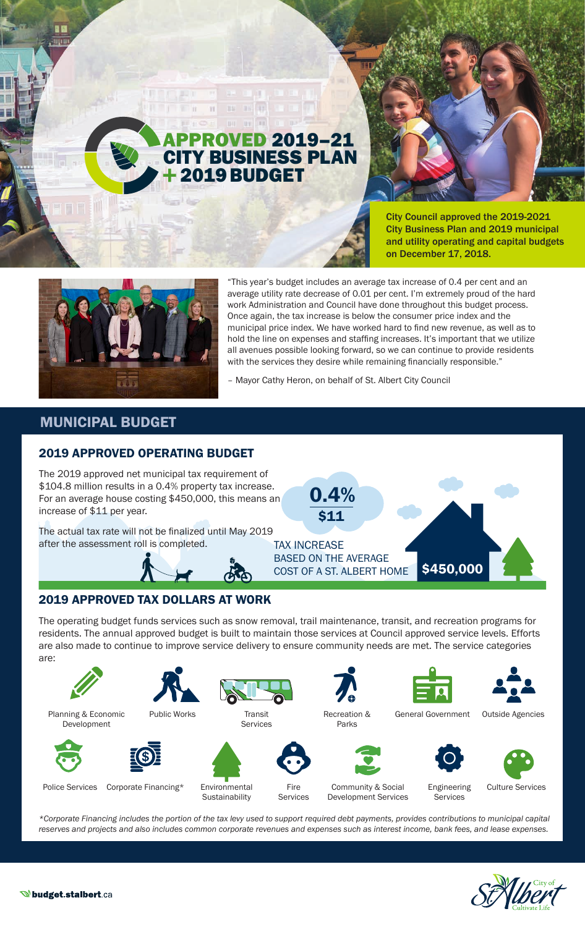# **ROVED 2019-21** CITY BUSINESS PLAN 2019 BUDGET

BB Bh 88

 $\mathbb{R}$  11

 $\mathbb{H}$ 



City Council approved the 2019-2021 City Business Plan and 2019 municipal and utility operating and capital budgets on December 17, 2018.



"This year's budget includes an average tax increase of 0.4 per cent and an average utility rate decrease of 0.01 per cent. I'm extremely proud of the hard work Administration and Council have done throughout this budget process. Once again, the tax increase is below the consumer price index and the municipal price index. We have worked hard to find new revenue, as well as to hold the line on expenses and staffing increases. It's important that we utilize all avenues possible looking forward, so we can continue to provide residents with the services they desire while remaining financially responsible."

– Mayor Cathy Heron, on behalf of St. Albert City Council

0.4%

\$11

BASED ON THE AVERAGE

COST OF A ST. ALBERT HOME \$450,000

# MUNICIPAL BUDGET

#### 2019 APPROVED OPERATING BUDGET

The 2019 approved net municipal tax requirement of \$104.8 million results in a 0.4% property tax increase. For an average house costing \$450,000, this means an increase of \$11 per year.

TAX INCREASE The actual tax rate will not be finalized until May 2019 after the assessment roll is completed.



#### 2019 APPROVED TAX DOLLARS AT WORK

The operating budget funds services such as snow removal, trail maintenance, transit, and recreation programs for residents. The annual approved budget is built to maintain those services at Council approved service levels. Efforts are also made to continue to improve service delivery to ensure community needs are met. The service categories are:



*\*Corporate Financing includes the portion of the tax levy used to support required debt payments, provides contributions to municipal capital reserves and projects and also includes common corporate revenues and expenses such as interest income, bank fees, and lease expenses.*

Fire Services



Culture Services





**W**budget.stalbert.ca



Environmental Sustainability



Services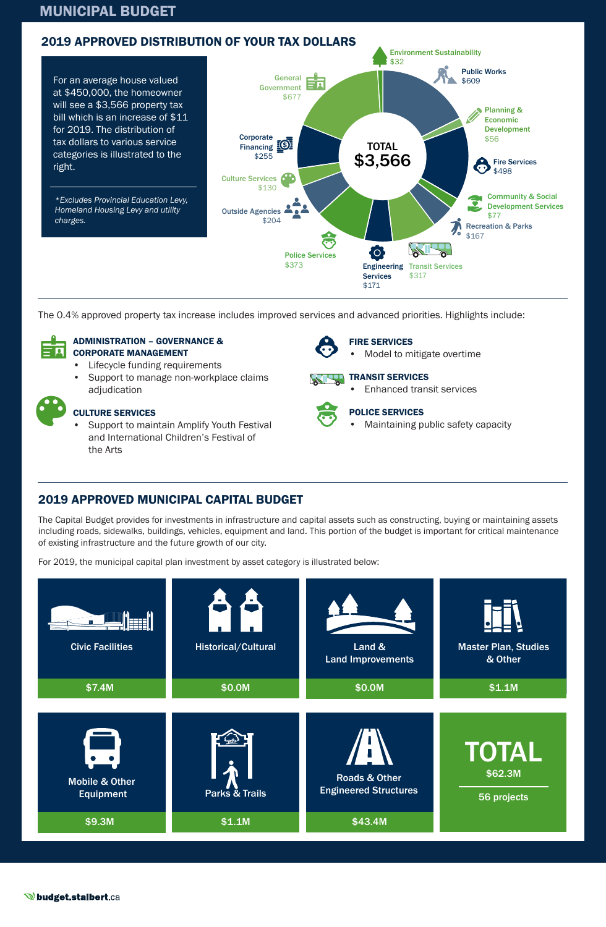#### MUNICIPAL BUDGET



The 0.4% approved property tax increase includes improved services and advanced priorities. Highlights include:



#### ADMINISTRATION – GOVERNANCE & CORPORATE MANAGEMENT

- Lifecycle funding requirements
- Support to manage non-workplace claims adjudication

#### CULTURE SERVICES

• Support to maintain Amplify Youth Festival and International Children's Festival of the Arts



# FIRE SERVICES

• Model to mitigate overtime

• Enhanced transit services



#### POLICE SERVICES

• Maintaining public safety capacity

### 2019 APPROVED MUNICIPAL CAPITAL BUDGET

The Capital Budget provides for investments in infrastructure and capital assets such as constructing, buying or maintaining assets including roads, sidewalks, buildings, vehicles, equipment and land. This portion of the budget is important for critical maintenance of existing infrastructure and the future growth of our city.

For 2019, the municipal capital plan investment by asset category is illustrated below:



#### **W**budget.stalbert.ca